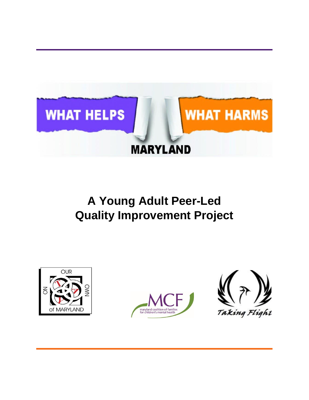

# **A Young Adult Peer-Led Quality Improvement Project**





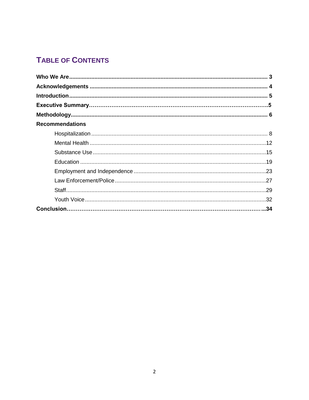# **TABLE OF CONTENTS**

| <b>Recommendations</b> |  |
|------------------------|--|
|                        |  |
|                        |  |
|                        |  |
|                        |  |
|                        |  |
|                        |  |
|                        |  |
|                        |  |
|                        |  |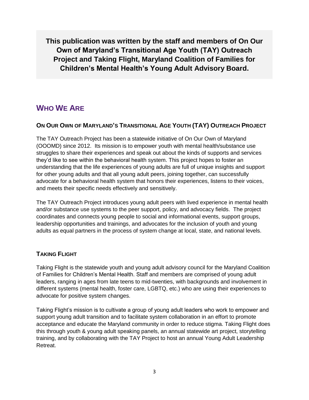**This publication was written by the staff and members of On Our Own of Maryland's Transitional Age Youth (TAY) Outreach Project and Taking Flight, Maryland Coalition of Families for Children's Mental Health's Young Adult Advisory Board.**

## <span id="page-2-0"></span>**WHO WE ARE**

### **ON OUR OWN OF MARYLAND'S TRANSITIONAL AGE YOUTH (TAY) OUTREACH PROJECT**

The TAY Outreach Project has been a statewide initiative of On Our Own of Maryland (OOOMD) since 2012. Its mission is to empower youth with mental health/substance use struggles to share their experiences and speak out about the kinds of supports and services they'd like to see within the behavioral health system. This project hopes to foster an understanding that the life experiences of young adults are full of unique insights and support for other young adults and that all young adult peers, joining together, can successfully advocate for a behavioral health system that honors their experiences, listens to their voices, and meets their specific needs effectively and sensitively.

The TAY Outreach Project introduces young adult peers with lived experience in mental health and/or substance use systems to the peer support, policy, and advocacy fields. The project coordinates and connects young people to social and informational events, support groups, leadership opportunities and trainings, and advocates for the inclusion of youth and young adults as equal partners in the process of system change at local, state, and national levels.

### **TAKING FLIGHT**

Taking Flight is the statewide youth and young adult advisory council for the Maryland Coalition of Families for Children's Mental Health. Staff and members are comprised of young adult leaders, ranging in ages from late teens to mid-twenties, with backgrounds and involvement in different systems (mental health, foster care, LGBTQ, etc.) who are using their experiences to advocate for positive system changes.

Taking Flight's mission is to cultivate a group of young adult leaders who work to empower and support young adult transition and to facilitate system collaboration in an effort to promote acceptance and educate the Maryland community in order to reduce stigma. Taking Flight does this through youth & young adult speaking panels, an annual statewide art project, storytelling training, and by collaborating with the TAY Project to host an annual Young Adult Leadership Retreat.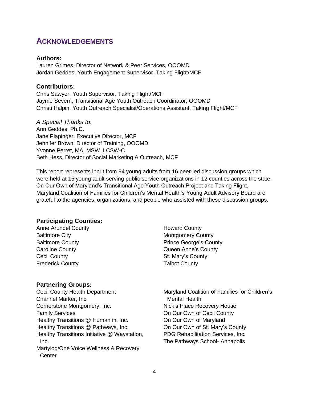## <span id="page-3-0"></span>**ACKNOWLEDGEMENTS**

### **Authors:**

Lauren Grimes, Director of Network & Peer Services, OOOMD Jordan Geddes, Youth Engagement Supervisor, Taking Flight/MCF

### **Contributors:**

Chris Sawyer, Youth Supervisor, Taking Flight/MCF Jayme Severn, Transitional Age Youth Outreach Coordinator, OOOMD Christi Halpin, Youth Outreach Specialist/Operations Assistant, Taking Flight/MCF

*A Special Thanks to:* Ann Geddes, Ph.D. Jane Plapinger, Executive Director, MCF Jennifer Brown, Director of Training, OOOMD Yvonne Perret, MA, MSW, LCSW-C Beth Hess, Director of Social Marketing & Outreach, MCF

This report represents input from 94 young adults from 16 peer-led discussion groups which were held at 15 young adult serving public service organizations in 12 counties across the state. On Our Own of Maryland's Transitional Age Youth Outreach Project and Taking Flight, Maryland Coalition of Families for Children's Mental Health's Young Adult Advisory Board are grateful to the agencies, organizations, and people who assisted with these discussion groups.

### **Participating Counties:**

Anne Arundel County Baltimore City Baltimore County Caroline County Cecil County Frederick County

### **Partnering Groups:**

Cecil County Health Department Channel Marker, Inc. Cornerstone Montgomery, Inc. Family Services Healthy Transitions @ Humanim, Inc. Healthy Transitions @ Pathways, Inc. Healthy Transitions Initiative @ Waystation, Inc. Martylog/One Voice Wellness & Recovery **Center** 

Howard County Montgomery County Prince George's County Queen Anne's County St. Mary's County Talbot County

Maryland Coalition of Families for Children's Mental Health Nick's Place Recovery House On Our Own of Cecil County On Our Own of Maryland On Our Own of St. Mary's County PDG Rehabilitation Services, Inc. The Pathways School- Annapolis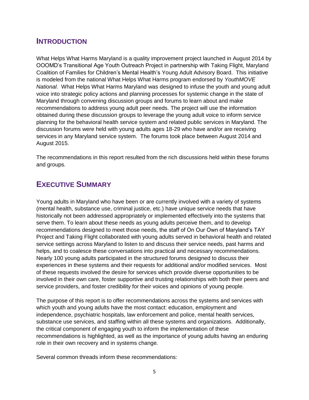## <span id="page-4-0"></span>**INTRODUCTION**

What Helps What Harms Maryland is a quality improvement project launched in August 2014 by OOOMD's Transitional Age Youth Outreach Project in partnership with Taking Flight, Maryland Coalition of Families for Children's Mental Health's Young Adult Advisory Board. This initiative is modeled from the national What Helps What Harms program endorsed by *YouthMOVE National*. What Helps What Harms Maryland was designed to infuse the youth and young adult voice into strategic policy actions and planning processes for systemic change in the state of Maryland through convening discussion groups and forums to learn about and make recommendations to address young adult peer needs. The project will use the information obtained during these discussion groups to leverage the young adult voice to inform service planning for the behavioral health service system and related public services in Maryland. The discussion forums were held with young adults ages 18-29 who have and/or are receiving services in any Maryland service system. The forums took place between August 2014 and August 2015.

The recommendations in this report resulted from the rich discussions held within these forums and groups.

## <span id="page-4-1"></span>**EXECUTIVE SUMMARY**

Young adults in Maryland who have been or are currently involved with a variety of systems (mental health, substance use, criminal justice, etc.) have unique service needs that have historically not been addressed appropriately or implemented effectively into the systems that serve them. To learn about these needs as young adults perceive them, and to develop recommendations designed to meet those needs, the staff of On Our Own of Maryland's TAY Project and Taking Flight collaborated with young adults served in behavioral health and related service settings across Maryland to listen to and discuss their service needs, past harms and helps, and to coalesce these conversations into practical and necessary recommendations. Nearly 100 young adults participated in the structured forums designed to discuss their experiences in these systems and their requests for additional and/or modified services. Most of these requests involved the desire for services which provide diverse opportunities to be involved in their own care, foster supportive and trusting relationships with both their peers and service providers, and foster credibility for their voices and opinions of young people.

The purpose of this report is to offer recommendations across the systems and services with which youth and young adults have the most contact: education, employment and independence, psychiatric hospitals, law enforcement and police, mental health services, substance use services, and staffing within all these systems and organizations. Additionally, the critical component of engaging youth to inform the implementation of these recommendations is highlighted, as well as the importance of young adults having an enduring role in their own recovery and in systems change.

Several common threads inform these recommendations: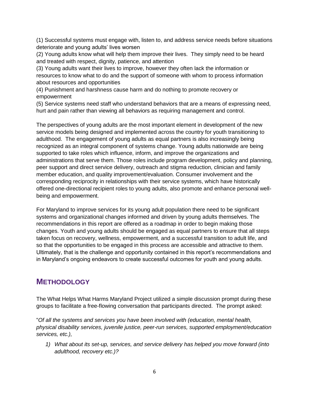(1) Successful systems must engage with, listen to, and address service needs before situations deteriorate and young adults' lives worsen

(2) Young adults know what will help them improve their lives. They simply need to be heard and treated with respect, dignity, patience, and attention

(3) Young adults want their lives to improve, however they often lack the information or resources to know what to do and the support of someone with whom to process information about resources and opportunities

(4) Punishment and harshness cause harm and do nothing to promote recovery or empowerment

(5) Service systems need staff who understand behaviors that are a means of expressing need, hurt and pain rather than viewing all behaviors as requiring management and control.

The perspectives of young adults are the most important element in development of the new service models being designed and implemented across the country for youth transitioning to adulthood. The engagement of young adults as equal partners is also increasingly being recognized as an integral component of systems change. Young adults nationwide are being supported to take roles which influence, inform, and improve the organizations and administrations that serve them. Those roles include program development, policy and planning, peer support and direct service delivery, outreach and stigma reduction, clinician and family member education, and quality improvement/evaluation. Consumer involvement and the corresponding reciprocity in relationships with their service systems, which have historically offered one-directional recipient roles to young adults, also promote and enhance personal wellbeing and empowerment.

For Maryland to improve services for its young adult population there need to be significant systems and organizational changes informed and driven by young adults themselves. The recommendations in this report are offered as a roadmap in order to begin making those changes. Youth and young adults should be engaged as equal partners to ensure that all steps taken focus on recovery, wellness, empowerment, and a successful transition to adult life, and so that the opportunities to be engaged in this process are accessible and attractive to them. Ultimately, that is the challenge and opportunity contained in this report's recommendations and in Maryland's ongoing endeavors to create successful outcomes for youth and young adults.

## **METHODOLOGY**

The What Helps What Harms Maryland Project utilized a simple discussion prompt during these groups to facilitate a free-flowing conversation that participants directed. The prompt asked:

"*Of all the systems and services you have been involved with (education, mental health, physical disability services, juvenile justice, peer-run services, supported employment/education services, etc.),*

*1) What about its set-up, services, and service delivery has helped you move forward (into adulthood, recovery etc.)?*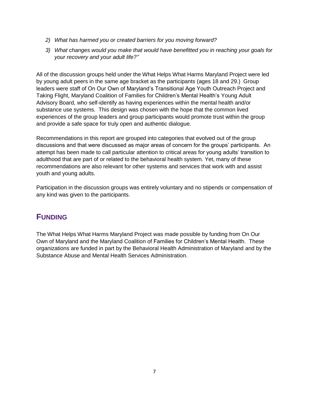- *2) What has harmed you or created barriers for you moving forward?*
- *3) What changes would you make that would have benefitted you in reaching your goals for your recovery and your adult life?"*

All of the discussion groups held under the What Helps What Harms Maryland Project were led by young adult peers in the same age bracket as the participants (ages 18 and 29.) Group leaders were staff of On Our Own of Maryland's Transitional Age Youth Outreach Project and Taking Flight, Maryland Coalition of Families for Children's Mental Health's Young Adult Advisory Board, who self-identify as having experiences within the mental health and/or substance use systems. This design was chosen with the hope that the common lived experiences of the group leaders and group participants would promote trust within the group and provide a safe space for truly open and authentic dialogue.

Recommendations in this report are grouped into categories that evolved out of the group discussions and that were discussed as major areas of concern for the groups' participants. An attempt has been made to call particular attention to critical areas for young adults' transition to adulthood that are part of or related to the behavioral health system. Yet, many of these recommendations are also relevant for other systems and services that work with and assist youth and young adults.

Participation in the discussion groups was entirely voluntary and no stipends or compensation of any kind was given to the participants.

## **FUNDING**

The What Helps What Harms Maryland Project was made possible by funding from On Our Own of Maryland and the Maryland Coalition of Families for Children's Mental Health. These organizations are funded in part by the Behavioral Health Administration of Maryland and by the Substance Abuse and Mental Health Services Administration.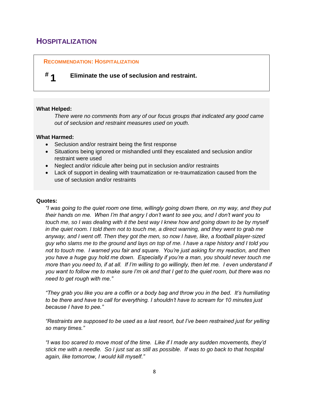## <span id="page-7-0"></span>**HOSPITALIZATION**

### **RECOMMENDATION: HOSPITALIZATION**

**# 1 Eliminate the use of seclusion and restraint.**

### **What Helped:**

*There were no comments from any of our focus groups that indicated any good came out of seclusion and restraint measures used on youth.*

### **What Harmed:**

- Seclusion and/or restraint being the first response
- Situations being ignored or mishandled until they escalated and seclusion and/or restraint were used
- Neglect and/or ridicule after being put in seclusion and/or restraints
- Lack of support in dealing with traumatization or re-traumatization caused from the use of seclusion and/or restraints

### **Quotes:**

*"I was going to the quiet room one time, willingly going down there, on my way, and they put their hands on me. When I'm that angry I don't want to see you, and I don't want you to touch me, so I was dealing with it the best way I knew how and going down to be by myself in the quiet room. I told them not to touch me, a direct warning, and they went to grab me anyway, and I went off. Then they got the men, so now I have, like, a football player-sized guy who slams me to the ground and lays on top of me. I have a rape history and I told you not to touch me. I warned you fair and square. You're just asking for my reaction, and then you have a huge guy hold me down. Especially if you're a man, you should never touch me more than you need to, if at all. If I'm willing to go willingly, then let me. I even understand if you want to follow me to make sure I'm ok and that I get to the quiet room, but there was no need to get rough with me."*

*"They grab you like you are a coffin or a body bag and throw you in the bed. It's humiliating to be there and have to call for everything. I shouldn't have to scream for 10 minutes just because I have to pee."*

*"Restraints are supposed to be used as a last resort, but I've been restrained just for yelling so many times."*

*"I was too scared to move most of the time. Like if I made any sudden movements, they'd stick me with a needle. So I just sat as still as possible. If was to go back to that hospital again, like tomorrow, I would kill myself."*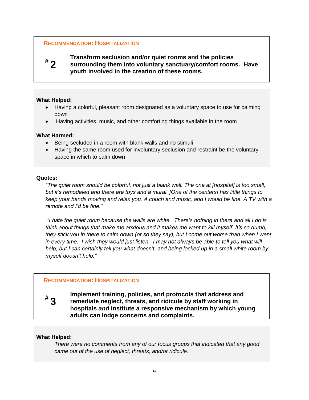### **RECOMMENDATION: HOSPITALIZATION**



**Transform seclusion and/or quiet rooms and the policies surrounding them into voluntary sanctuary/comfort rooms. Have youth involved in the creation of these rooms.** 

### **What Helped:**

- Having a colorful, pleasant room designated as a voluntary space to use for calming down
- Having activities, music, and other comforting things available in the room

### **What Harmed:**

- Being secluded in a room with blank walls and no stimuli
- Having the same room used for involuntary seclusion and restraint be the voluntary space in which to calm down

### **Quotes:**

*"The quiet room should be colorful, not just a blank wall. The one at [hospital] is too small, but it's remodeled and there are toys and a mural. [One of the centers] has little things to keep your hands moving and relax you. A couch and music, and I would be fine. A TV with a remote and I'd be fine."*

*"I hate the quiet room because the walls are white. There's nothing in there and all I do is think about things that make me anxious and it makes me want to kill myself. It's so dumb, they stick you in there to calm down (or so they say), but I come out worse than when I went*  in every time. I wish they would just listen. I may not always be able to tell you what will *help, but I can certainly tell you what doesn't, and being locked up in a small white room by myself doesn't help."*

### **RECOMMENDATION: HOSPITALIZATION**

**# 3**

**Implement training, policies, and protocols that address and remediate neglect, threats, and ridicule by staff working in hospitals** *and* **institute a responsive mechanism by which young adults can lodge concerns and complaints.**

### **What Helped:**

*There were no comments from any of our focus groups that indicated that any good came out of the use of neglect, threats, and/or ridicule.*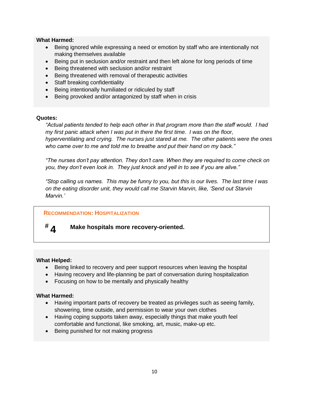### **What Harmed:**

- Being ignored while expressing a need or emotion by staff who are intentionally not making themselves available
- Being put in seclusion and/or restraint and then left alone for long periods of time
- Being threatened with seclusion and/or restraint
- Being threatened with removal of therapeutic activities
- Staff breaking confidentiality
- Being intentionally humiliated or ridiculed by staff
- Being provoked and/or antagonized by staff when in crisis

### **Quotes:**

*"Actual patients tended to help each other in that program more than the staff would. I had my first panic attack when I was put in there the first time. I was on the floor, hyperventilating and crying. The nurses just stared at me. The other patients were the ones who came over to me and told me to breathe and put their hand on my back."*

*"The nurses don't pay attention. They don't care. When they are required to come check on you, they don't even look in. They just knock and yell in to see if you are alive."*

*"Stop calling us names. This may be funny to you, but this is our lives. The last time I was on the eating disorder unit, they would call me Starvin Marvin, like, 'Send out Starvin Marvin.'* 

### **RECOMMENDATION: HOSPITALIZATION**

# **# 4**

**Make hospitals more recovery-oriented.**

### **What Helped:**

- Being linked to recovery and peer support resources when leaving the hospital
- Having recovery and life-planning be part of conversation during hospitalization
- Focusing on how to be mentally and physically healthy

### **What Harmed:**

- Having important parts of recovery be treated as privileges such as seeing family, showering, time outside, and permission to wear your own clothes
- Having coping supports taken away, especially things that make youth feel comfortable and functional, like smoking, art, music, make-up etc.
- Being punished for not making progress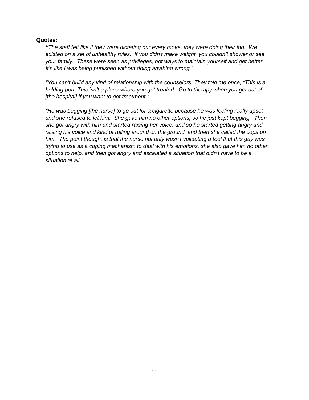### **Quotes:**

*"The staff felt like if they were dictating our every move, they were doing their job. We existed on a set of unhealthy rules. If you didn't make weight, you couldn't shower or see your family. These were seen as privileges, not ways to maintain yourself and get better. It's like I was being punished without doing anything wrong."*

*"You can't build any kind of relationship with the counselors. They told me once, "This is a holding pen. This isn't a place where you get treated. Go to therapy when you get out of [the hospital] if you want to get treatment."*

*"He was begging [the nurse] to go out for a cigarette because he was feeling really upset and she refused to let him. She gave him no other options, so he just kept begging. Then she got angry with him and started raising her voice, and so he started getting angry and raising his voice and kind of rolling around on the ground, and then she called the cops on him. The point though, is that the nurse not only wasn't validating a tool that this guy was trying to use as a coping mechanism to deal with his emotions, she also gave him no other options to help, and then got angry and escalated a situation that didn't have to be a situation at all."*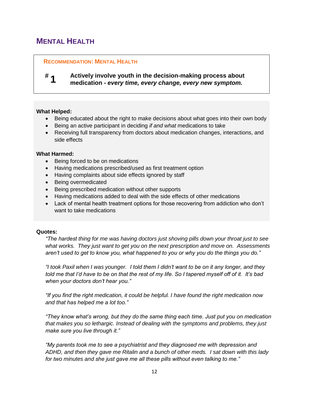# <span id="page-11-0"></span>**MENTAL HEALTH**

### **RECOMMENDATION: MENTAL HEALTH**

#### **# 1 Actively involve youth in the decision-making process about medication -** *every time, every change, every new symptom.*

### **What Helped:**

- Being educated about the right to make decisions about what goes into their own body
- Being an active participant in deciding *if and what* medications to take
- Receiving full transparency from doctors about medication changes, interactions, and side effects

### **What Harmed:**

- Being forced to be on medications
- Having medications prescribed/used as first treatment option
- Having complaints about side effects ignored by staff
- Being overmedicated
- Being prescribed medication without other supports
- Having medications added to deal with the side effects of other medications
- Lack of mental health treatment options for those recovering from addiction who don't want to take medications

### **Quotes:**

*"The hardest thing for me was having doctors just shoving pills down your throat just to see what works. They just want to get you on the next prescription and move on. Assessments aren't used to get to know you, what happened to you or why you do the things you do."*

*"I took Paxil when I was younger. I told them I didn't want to be on it any longer, and they told me that I'd have to be on that the rest of my life. So I tapered myself off of it. It's bad when your doctors don't hear you."*

*"If you find the right medication, it could be helpful. I have found the right medication now and that has helped me a lot too."*

*"They know what's wrong, but they do the same thing each time. Just put you on medication that makes you so lethargic. Instead of dealing with the symptoms and problems, they just make sure you live through it."*

*"My parents took me to see a psychiatrist and they diagnosed me with depression and ADHD, and then they gave me Ritalin and a bunch of other meds. I sat down with this lady for two minutes and she just gave me all these pills without even talking to me."*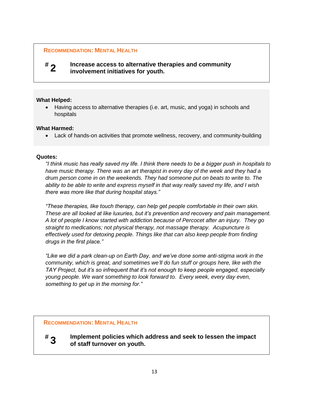### **RECOMMENDATION: MENTAL HEALTH**

# **# 2**

**Increase access to alternative therapies and community involvement initiatives for youth.**

### **What Helped:**

 Having access to alternative therapies (i.e. art, music, and yoga) in schools and hospitals

### **What Harmed:**

Lack of hands-on activities that promote wellness, recovery, and community-building

### **Quotes:**

**# 3**

*"I think music has really saved my life. I think there needs to be a bigger push in hospitals to have music therapy. There was an art therapist in every day of the week and they had a drum person come in on the weekends. They had someone put on beats to write to. The ability to be able to write and express myself in that way really saved my life, and I wish there was more like that during hospital stays."*

*"These therapies, like touch therapy, can help get people comfortable in their own skin. These are all looked at like luxuries, but it's prevention and recovery and pain management. A lot of people I know started with addiction because of Percocet after an injury. They go straight to medications; not physical therapy, not massage therapy. Acupuncture is effectively used for detoxing people. Things like that can also keep people from finding drugs in the first place."*

*"Like we did a park clean-up on Earth Day, and we've done some anti-stigma work in the community, which is great, and sometimes we'll do fun stuff or groups here, like with the TAY Project, but it's so infrequent that it's not enough to keep people engaged, especially young people. We want something to look forward to. Every week, every day even, something to get up in the morning for."*

### **RECOMMENDATION: MENTAL HEALTH**

**Implement policies which address and seek to lessen the impact of staff turnover on youth.**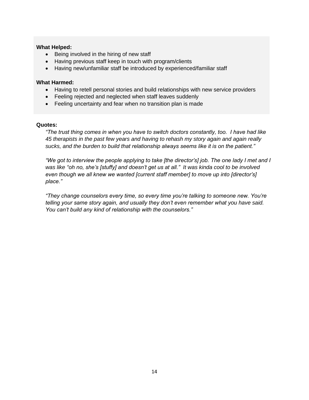### **What Helped:**

- Being involved in the hiring of new staff
- Having previous staff keep in touch with program/clients
- Having new/unfamiliar staff be introduced by experienced/familiar staff

### **What Harmed:**

- Having to retell personal stories and build relationships with new service providers
- Feeling rejected and neglected when staff leaves suddenly
- Feeling uncertainty and fear when no transition plan is made

### **Quotes:**

*"The trust thing comes in when you have to switch doctors constantly, too. I have had like 45 therapists in the past few years and having to rehash my story again and again really sucks, and the burden to build that relationship always seems like it is on the patient."*

*"We got to interview the people applying to take [the director's] job. The one lady I met and I was like "oh no, she's [stuffy] and doesn't get us at all." It was kinda cool to be involved even though we all knew we wanted [current staff member] to move up into [director's] place."*

*"They change counselors every time, so every time you're talking to someone new. You're telling your same story again, and usually they don't even remember what you have said. You can't build any kind of relationship with the counselors."*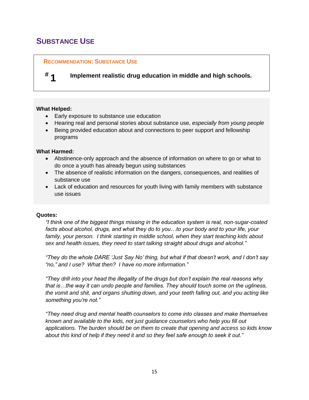# <span id="page-14-0"></span>**SUBSTANCE USE**

### **RECOMMENDATION: SUBSTANCE USE**

### **# 1 Implement realistic drug education in middle and high schools.**

### **What Helped:**

- Early exposure to substance use education
- Hearing real and personal stories about substance use, *especially from young people*
- Being provided education about and connections to peer support and fellowship programs

### **What Harmed:**

- Abstinence-only approach and the absence of information on where to go or what to do once a youth has already begun using substances
- The absence of realistic information on the dangers, consequences, and realities of substance use
- Lack of education and resources for youth living with family members with substance use issues

### **Quotes:**

*"I think one of the biggest things missing in the education system is real, non-sugar-coated facts about alcohol, drugs, and what they do to you…to your body and to your life, your family, your person. I think starting in middle school, when they start teaching kids about sex and health issues, they need to start talking straight about drugs and alcohol."*

*"They do the whole DARE 'Just Say No' thing, but what if that doesn't work, and I don't say "no," and I use? What then? I have no more information."* 

*"They drill into your head the illegality of the drugs but don't explain the real reasons why that is…the way it can undo people and families. They should touch some on the ugliness, the vomit and shit, and organs shutting down, and your teeth falling out, and you acting like something you're not."*

*"They need drug and mental health counselors to come into classes and make themselves known and available to the kids, not just guidance counselors who help you fill out applications. The burden should be on them to create that opening and access so kids know about this kind of help if they need it and so they feel safe enough to seek it out."*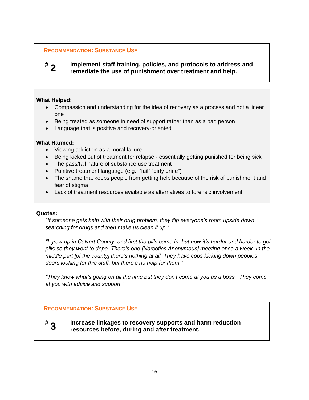### **RECOMMENDATION: SUBSTANCE USE**

# **# 2**

**Implement staff training, policies, and protocols to address and remediate the use of punishment over treatment and help.**

### **What Helped:**

- Compassion and understanding for the idea of recovery as a process and not a linear one
- Being treated as someone in need of support rather than as a bad person
- Language that is positive and recovery-oriented

### **What Harmed:**

- Viewing addiction as a moral failure
- Being kicked out of treatment for relapse essentially getting punished for being sick
- The pass/fail nature of substance use treatment
- Punitive treatment language (e.g., "fail" "dirty urine")
- The shame that keeps people from getting help because of the risk of punishment and fear of stigma
- Lack of treatment resources available as alternatives to forensic involvement

### **Quotes:**

*"If someone gets help with their drug problem, they flip everyone's room upside down searching for drugs and then make us clean it up."*

*"I grew up in Calvert County, and first the pills came in, but now it's harder and harder to get pills so they went to dope. There's one [Narcotics Anonymous] meeting once a week. In the middle part [of the county] there's nothing at all. They have cops kicking down peoples doors looking for this stuff, but there's no help for them."*

*"They know what's going on all the time but they don't come at you as a boss. They come at you with advice and support."*

### **RECOMMENDATION: SUBSTANCE USE**



**Increase linkages to recovery supports and harm reduction resources before, during and after treatment.**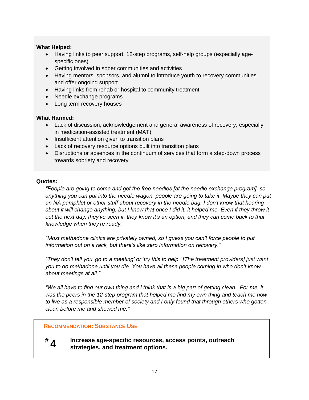### **What Helped:**

- Having links to peer support, 12-step programs, self-help groups (especially agespecific ones)
- Getting involved in sober communities and activities
- Having mentors, sponsors, and alumni to introduce youth to recovery communities and offer ongoing support
- Having links from rehab or hospital to community treatment
- Needle exchange programs
- Long term recovery houses

### **What Harmed:**

- Lack of discussion, acknowledgement and general awareness of recovery, especially in medication-assisted treatment (MAT)
- Insufficient attention given to transition plans
- Lack of recovery resource options built into transition plans
- Disruptions or absences in the continuum of services that form a step-down process towards sobriety and recovery

### **Quotes:**

**# 4**

*"People are going to come and get the free needles [at the needle exchange program], so anything you can put into the needle wagon, people are going to take it. Maybe they can put*  an NA pamphlet or other stuff about recovery in the needle bag. I don't know that hearing about it will change anything, but I know that once I did it, it helped me. Even if they throw it *out the next day, they've seen it, they know it's an option, and they can come back to that knowledge when they're ready."*

*"Most methadone clinics are privately owned, so I guess you can't force people to put information out on a rack, but there's like zero information on recovery."*

*"They don't tell you 'go to a meeting' or 'try this to help.' [The treatment providers] just want you to do methadone until you die. You have all these people coming in who don't know about meetings at all."*

*"We all have to find our own thing and I think that is a big part of getting clean. For me, it was the peers in the 12-step program that helped me find my own thing and teach me how to live as a responsible member of society and I only found that through others who gotten clean before me and showed me."*

### **RECOMMENDATION: SUBSTANCE USE**

**Increase age-specific resources, access points, outreach strategies, and treatment options.**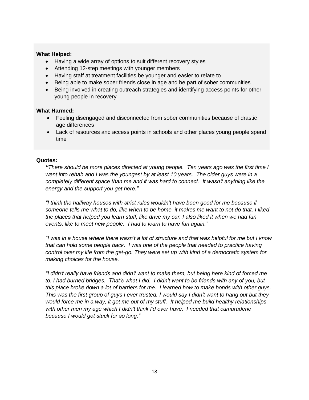### **What Helped:**

- Having a wide array of options to suit different recovery styles
- Attending 12-step meetings with younger members
- Having staff at treatment facilities be younger and easier to relate to
- Being able to make sober friends close in age and be part of sober communities
- Being involved in creating outreach strategies and identifying access points for other young people in recovery

### **What Harmed:**

- Feeling disengaged and disconnected from sober communities because of drastic age differences
- Lack of resources and access points in schools and other places young people spend time

### **Quotes:**

*"There should be more places directed at young people. Ten years ago was the first time I went into rehab and I was the youngest by at least 10 years. The older guys were in a completely different space than me and it was hard to connect. It wasn't anything like the energy and the support you get here."*

*"I think the halfway houses with strict rules wouldn't have been good for me because if someone tells me what to do, like when to be home, it makes me want to not do that. I liked the places that helped you learn stuff, like drive my car. I also liked it when we had fun events, like to meet new people. I had to learn to have fun again."*

*"I was in a house where there wasn't a lot of structure and that was helpful for me but I know that can hold some people back. I was one of the people that needed to practice having control over my life from the get-go. They were set up with kind of a democratic system for making choices for the house.* 

*"I didn't really have friends and didn't want to make them, but being here kind of forced me to. I had burned bridges. That's what I did. I didn't want to be friends with any of you, but this place broke down a lot of barriers for me. I learned how to make bonds with other guys. This was the first group of guys I ever trusted. I would say I didn't want to hang out but they would force me in a way, it got me out of my stuff. It helped me build healthy relationships with other men my age which I didn't think I'd ever have. I needed that camaraderie because I would get stuck for so long."*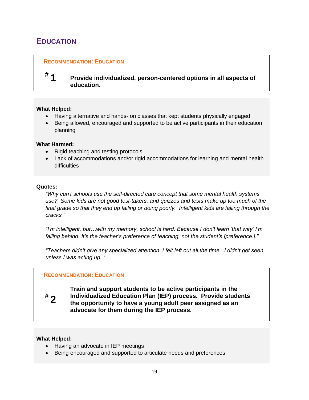# <span id="page-18-0"></span>**EDUCATION**

### **RECOMMENDATION: EDUCATION**

# **#**

**1 Provide individualized, person-centered options in all aspects of education.** 

### **What Helped:**

- Having alternative and hands- on classes that kept students physically engaged
- Being allowed, encouraged and supported to be active participants in their education planning

### **What Harmed:**

- Rigid teaching and testing protocols
- Lack of accommodations and/or rigid accommodations for learning and mental health difficulties

### **Quotes:**

*"Why can't schools use the self-directed care concept that some mental health systems use? Some kids are not good test-takers, and quizzes and tests make up too much of the final grade so that they end up failing or doing poorly. Intelligent kids are falling through the cracks."*

*"I'm intelligent, but…with my memory, school is hard. Because I don't learn 'that way' I'm falling behind. It's the teacher's preference of teaching, not the student's [preference.]."*

*"Teachers didn't give any specialized attention. I felt left out all the time. I didn't get seen unless I was acting up. "*

### **RECOMMENDATION: EDUCATION**



**Train and support students to be active participants in the Individualized Education Plan (IEP) process. Provide students the opportunity to have a young adult peer assigned as an advocate for them during the IEP process.**

### **What Helped:**

- Having an advocate in IEP meetings
- Being encouraged and supported to articulate needs and preferences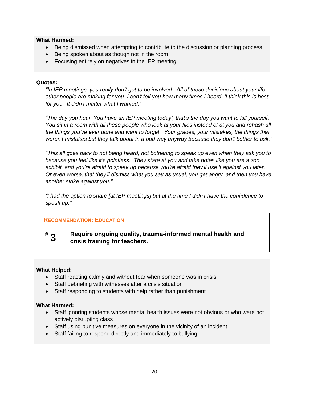### **What Harmed:**

- Being dismissed when attempting to contribute to the discussion or planning process
- Being spoken about as though not in the room
- Focusing entirely on negatives in the IEP meeting

### **Quotes:**

*"In IEP meetings, you really don't get to be involved. All of these decisions about your life other people are making for you. I can't tell you how many times I heard, 'I think this is best for you.' It didn't matter what I wanted."*

*"The day you hear 'You have an IEP meeting today', that's the day you want to kill yourself. You sit in a room with all these people who look at your files instead of at you and rehash all the things you've ever done and want to forget. Your grades, your mistakes, the things that weren't mistakes but they talk about in a bad way anyway because they don't bother to ask."*

*"This all goes back to not being heard, not bothering to speak up even when they ask you to because you feel like it's pointless. They stare at you and take notes like you are a zoo exhibit, and you're afraid to speak up because you're afraid they'll use it against you later. Or even worse, that they'll dismiss what you say as usual, you get angry, and then you have another strike against you."*

*"I had the option to share [at IEP meetings] but at the time I didn't have the confidence to speak up."*

### **RECOMMENDATION: EDUCATION**

#### **# 3 Require ongoing quality, trauma-informed mental health and crisis training for teachers.**

### **What Helped:**

- Staff reacting calmly and without fear when someone was in crisis
- Staff debriefing with witnesses after a crisis situation
- Staff responding to students with help rather than punishment

### **What Harmed:**

- Staff ignoring students whose mental health issues were not obvious or who were not actively disrupting class
- Staff using punitive measures on everyone in the vicinity of an incident
- Staff failing to respond directly and immediately to bullying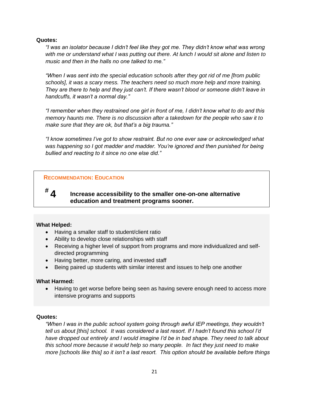### **Quotes:**

*"I was an isolator because I didn't feel like they got me. They didn't know what was wrong with me or understand what I was putting out there. At lunch I would sit alone and listen to music and then in the halls no one talked to me."*

*"When I was sent into the special education schools after they got rid of me [from public schools], it was a scary mess. The teachers need so much more help and more training. They are there to help and they just can't. If there wasn't blood or someone didn't leave in handcuffs, it wasn't a normal day."*

*"I remember when they restrained one girl in front of me, I didn't know what to do and this memory haunts me. There is no discussion after a takedown for the people who saw it to make sure that they are ok, but that's a big trauma."*

*"I know sometimes I've got to show restraint. But no one ever saw or acknowledged what was happening so I got madder and madder. You're ignored and then punished for being bullied and reacting to it since no one else did."*

### **RECOMMENDATION: EDUCATION**

**4 Increase accessibility to the smaller one-on-one alternative education and treatment programs sooner.** 

### **What Helped:**

**#**

- Having a smaller staff to student/client ratio
- Ability to develop close relationships with staff
- Receiving a higher level of support from programs and more individualized and selfdirected programming
- Having better, more caring, and invested staff
- Being paired up students with similar interest and issues to help one another

### **What Harmed:**

 Having to get worse before being seen as having severe enough need to access more intensive programs and supports

### **Quotes:**

*"When I was in the public school system going through awful IEP meetings, they wouldn't tell us about [this] school. It was considered a last resort. If I hadn't found this school I'd have dropped out entirely and I would imagine I'd be in bad shape. They need to talk about this school more because it would help so many people. In fact they just need to make more [schools like this] so it isn't a last resort. This option should be available before things*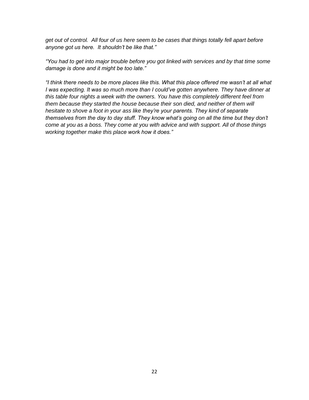*get out of control. All four of us here seem to be cases that things totally fell apart before anyone got us here. It shouldn't be like that."*

*"You had to get into major trouble before you got linked with services and by that time some damage is done and it might be too late."*

*"I think there needs to be more places like this. What this place offered me wasn't at all what I* was expecting. It was so much more than I could've gotten anywhere. They have dinner at *this table four nights a week with the owners. You have this completely different feel from them because they started the house because their son died, and neither of them will hesitate to shove a foot in your ass like they're your parents. They kind of separate themselves from the day to day stuff. They know what's going on all the time but they don't come at you as a boss. They come at you with advice and with support. All of those things working together make this place work how it does."*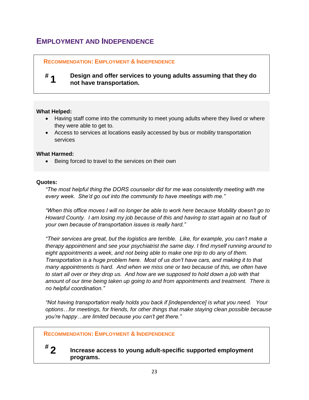## <span id="page-22-0"></span>**EMPLOYMENT AND INDEPENDENCE**

### **RECOMMENDATION: EMPLOYMENT & INDEPENDENCE**

#### **# 1 Design and offer services to young adults assuming that they do not have transportation.**

### **What Helped:**

- Having staff come into the community to meet young adults where they lived or where they were able to get to.
- Access to services at locations easily accessed by bus or mobility transportation services

### **What Harmed:**

• Being forced to travel to the services on their own

### **Quotes:**

*"The most helpful thing the DORS counselor did for me was consistently meeting with me every week. She'd go out into the community to have meetings with me."*

*"When this office moves I will no longer be able to work here because Mobility doesn't go to Howard County. I am losing my job because of this and having to start again at no fault of your own because of transportation issues is really hard."*

*"Their services are great, but the logistics are terrible. Like, for example, you can't make a therapy appointment and see your psychiatrist the same day. I find myself running around to eight appointments a week, and not being able to make one trip to do any of them. Transportation is a huge problem here. Most of us don't have cars, and making it to that many appointments is hard. And when we miss one or two because of this, we often have to start all over or they drop us. And how are we supposed to hold down a job with that amount of our time being taken up going to and from appointments and treatment. There is no helpful coordination."*

*"Not having transportation really holds you back if [independence] is what you need. Your options…for meetings, for friends, for other things that make staying clean possible because you're happy…are limited because you can't get there."*

### **RECOMMENDATION: EMPLOYMENT & INDEPENDENCE**

- **#**
- **2 Increase access to young adult-specific supported employment programs.**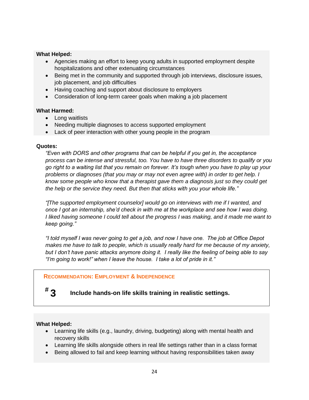### **What Helped:**

- Agencies making an effort to keep young adults in supported employment despite hospitalizations and other extenuating circumstances
- Being met in the community and supported through job interviews, disclosure issues, job placement, and job difficulties
- Having coaching and support about disclosure to employers
- Consideration of long-term career goals when making a job placement

### **What Harmed:**

- Long waitlists
- Needing multiple diagnoses to access supported employment
- Lack of peer interaction with other young people in the program

### **Quotes:**

*"Even with DORS and other programs that can be helpful if you get in, the acceptance process can be intense and stressful, too. You have to have three disorders to qualify or you go right to a waiting list that you remain on forever. It's tough when you have to play up your problems or diagnoses (that you may or may not even agree with) in order to get help. I know some people who know that a therapist gave them a diagnosis just so they could get the help or the service they need. But then that sticks with you your whole life."*

*"[The supported employment counselor] would go on interviews with me if I wanted, and once I got an internship, she'd check in with me at the workplace and see how I was doing. I liked having someone I could tell about the progress I was making, and it made me want to keep going."*

*"I told myself I was never going to get a job, and now I have one. The job at Office Depot makes me have to talk to people, which is usually really hard for me because of my anxiety, but I don't have panic attacks anymore doing it. I really like the feeling of being able to say "I'm going to work!" when I leave the house. I take a lot of pride in it."* 

### **RECOMMENDATION: EMPLOYMENT & INDEPENDENCE**

# **#**

### **3 Include hands-on life skills training in realistic settings.**

### **What Helped:**

- Learning life skills (e.g., laundry, driving, budgeting) along with mental health and recovery skills
- Learning life skills alongside others in real life settings rather than in a class format
- Being allowed to fail and keep learning without having responsibilities taken away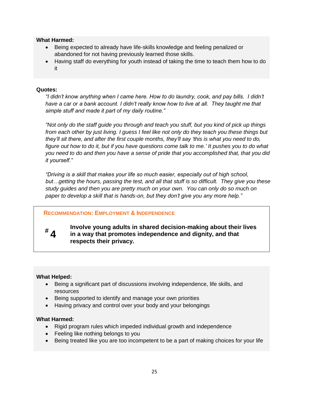### **What Harmed:**

- Being expected to already have life-skills knowledge and feeling penalized or abandoned for not having previously learned those skills.
- Having staff do everything for youth instead of taking the time to teach them how to do it

### **Quotes:**

*"I didn't know anything when I came here. How to do laundry, cook, and pay bills. I didn't have a car or a bank account. I didn't really know how to live at all. They taught me that simple stuff and made it part of my daily routine."*

*"Not only do the staff guide you through and teach you stuff, but you kind of pick up things from each other by just living. I guess I feel like not only do they teach you these things but they'll sit there, and after the first couple months, they'll say 'this is what you need to do, figure out how to do it, but if you have questions come talk to me.' It pushes you to do what you need to do and then you have a sense of pride that you accomplished that, that you did it yourself."*

*"Driving is a skill that makes your life so much easier, especially out of high school, but…getting the hours, passing the test, and all that stuff is so difficult. They give you these study guides and then you are pretty much on your own. You can only do so much on paper to develop a skill that is hands-on, but they don't give you any more help."*

### **RECOMMENDATION: EMPLOYMENT & INDEPENDENCE**

# **# 4**

**Involve young adults in shared decision-making about their lives in a way that promotes independence and dignity, and that respects their privacy.**

### **What Helped:**

- Being a significant part of discussions involving independence, life skills, and resources
- Being supported to identify and manage your own priorities
- Having privacy and control over your body and your belongings

### **What Harmed:**

- Rigid program rules which impeded individual growth and independence
- Feeling like nothing belongs to you
- Being treated like you are too incompetent to be a part of making choices for your life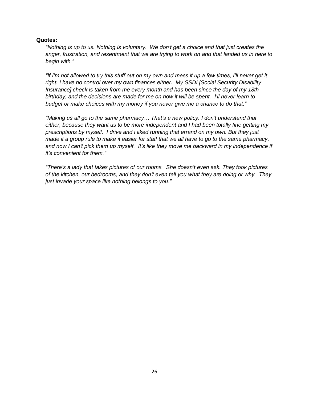### **Quotes:**

*"Nothing is up to us. Nothing is voluntary. We don't get a choice and that just creates the anger, frustration, and resentment that we are trying to work on and that landed us in here to begin with."*

*"If I'm not allowed to try this stuff out on my own and mess it up a few times, I'll never get it right. I have no control over my own finances either. My SSDI [Social Security Disability Insurance] check is taken from me every month and has been since the day of my 18th birthday, and the decisions are made for me on how it will be spent. I'll never learn to budget or make choices with my money if you never give me a chance to do that."*

*"Making us all go to the same pharmacy… That's a new policy. I don't understand that either, because they want us to be more independent and I had been totally fine getting my prescriptions by myself. I drive and I liked running that errand on my own. But they just made it a group rule to make it easier for staff that we all have to go to the same pharmacy, and now I can't pick them up myself. It's like they move me backward in my independence if it's convenient for them."*

*"There's a lady that takes pictures of our rooms. She doesn't even ask. They took pictures of the kitchen, our bedrooms, and they don't even tell you what they are doing or why. They just invade your space like nothing belongs to you."*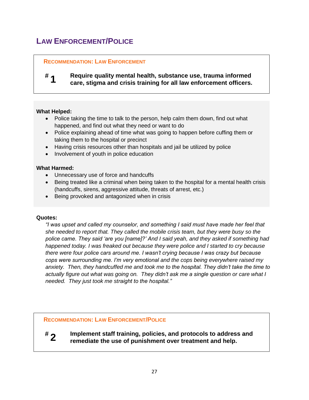# <span id="page-26-0"></span>**LAW ENFORCEMENT/POLICE**

### **RECOMMENDATION: LAW ENFORCEMENT**

#### **# 1 Require quality mental health, substance use, trauma informed care, stigma and crisis training for all law enforcement officers.**

### **What Helped:**

- Police taking the time to talk to the person, help calm them down, find out what happened, and find out what they need or want to do
- Police explaining ahead of time what was going to happen before cuffing them or taking them to the hospital or precinct
- Having crisis resources other than hospitals and jail be utilized by police
- Involvement of youth in police education

### **What Harmed:**

- Unnecessary use of force and handcuffs
- Being treated like a criminal when being taken to the hospital for a mental health crisis (handcuffs, sirens, aggressive attitude, threats of arrest, etc.)
- Being provoked and antagonized when in crisis

### **Quotes:**

*"I was upset and called my counselor, and something I said must have made her feel that she needed to report that. They called the mobile crisis team, but they were busy so the police came. They said 'are you [name]?' And I said yeah, and they asked if something had happened today. I was freaked out because they were police and I started to cry because there were four police cars around me. I wasn't crying because I was crazy but because cops were surrounding me. I'm very emotional and the cops being everywhere raised my anxiety. Then, they handcuffed me and took me to the hospital. They didn't take the time to actually figure out what was going on. They didn't ask me a single question or care what I needed. They just took me straight to the hospital."*

**RECOMMENDATION: LAW ENFORCEMENT/POLICE**

**# 2 Implement staff training, policies, and protocols to address and remediate the use of punishment over treatment and help.**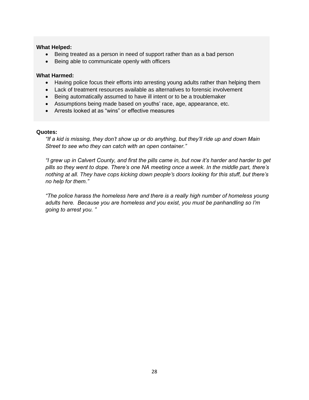### **What Helped:**

- Being treated as a person in need of support rather than as a bad person
- Being able to communicate openly with officers

### **What Harmed:**

- Having police focus their efforts into arresting young adults rather than helping them
- Lack of treatment resources available as alternatives to forensic involvement
- Being automatically assumed to have ill intent or to be a troublemaker
- Assumptions being made based on youths' race, age, appearance, etc.
- Arrests looked at as "wins" or effective measures

### **Quotes:**

*"If a kid is missing, they don't show up or do anything, but they'll ride up and down Main Street to see who they can catch with an open container."*

*"I grew up in Calvert County, and first the pills came in, but now it's harder and harder to get pills so they went to dope. There's one NA meeting once a week. In the middle part, there's nothing at all. They have cops kicking down people's doors looking for this stuff, but there's no help for them."*

*"The police harass the homeless here and there is a really high number of homeless young adults here. Because you are homeless and you exist, you must be panhandling so I'm going to arrest you. "*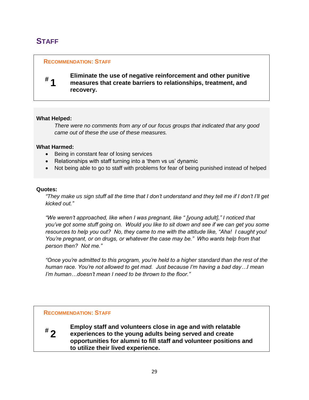# <span id="page-28-0"></span>**STAFF**

### **RECOMMENDATION: STAFF**

# **# 1**

**Eliminate the use of negative reinforcement and other punitive measures that create barriers to relationships, treatment, and recovery.**

### **What Helped:**

*There were no comments from any of our focus groups that indicated that any good came out of these the use of these measures.*

### **What Harmed:**

- Being in constant fear of losing services
- Relationships with staff turning into a 'them vs us' dynamic
- Not being able to go to staff with problems for fear of being punished instead of helped

### **Quotes:**

*"They make us sign stuff all the time that I don't understand and they tell me if I don't I'll get kicked out."*

*"We weren't approached, like when I was pregnant, like " [young adult]," I noticed that you've got some stuff going on. Would you like to sit down and see if we can get you some resources to help you out? No, they came to me with the attitude like, "Aha! I caught you! You're pregnant, or on drugs, or whatever the case may be." Who wants help from that person then? Not me."*

*"Once you're admitted to this program, you're held to a higher standard than the rest of the human race. You're not allowed to get mad. Just because I'm having a bad day…I mean I'm human…doesn't mean I need to be thrown to the floor."*

### **RECOMMENDATION: STAFF**



**Employ staff and volunteers close in age and with relatable experiences to the young adults being served and create opportunities for alumni to fill staff and volunteer positions and to utilize their lived experience.**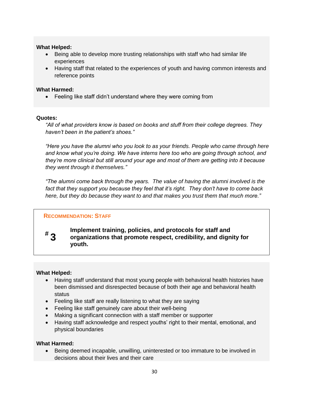### **What Helped:**

- Being able to develop more trusting relationships with staff who had similar life experiences
- Having staff that related to the experiences of youth and having common interests and reference points

### **What Harmed:**

Feeling like staff didn't understand where they were coming from

### **Quotes:**

*"All of what providers know is based on books and stuff from their college degrees. They haven't been in the patient's shoes."*

*"Here you have the alumni who you look to as your friends. People who came through here and know what you're doing. We have interns here too who are going through school, and they're more clinical but still around your age and most of them are getting into it because they went through it themselves."*

*"The alumni come back through the years. The value of having the alumni involved is the fact that they support you because they feel that it's right. They don't have to come back here, but they do because they want to and that makes you trust them that much more."*

### **RECOMMENDATION: STAFF**

# **# 3**

**Implement training, policies, and protocols for staff and organizations that promote respect, credibility, and dignity for youth.** 

### **What Helped:**

- Having staff understand that most young people with behavioral health histories have been dismissed and disrespected because of both their age and behavioral health status
- Feeling like staff are really listening to what they are saying
- Feeling like staff genuinely care about their well-being
- Making a significant connection with a staff member or supporter
- Having staff acknowledge and respect youths' right to their mental, emotional, and physical boundaries

### **What Harmed:**

 Being deemed incapable, unwilling, uninterested or too immature to be involved in decisions about their lives and their care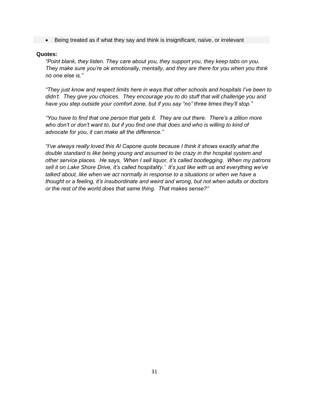Being treated as if what they say and think is insignificant, naïve, or irrelevant

### **Quotes:**

*"Point blank, they listen. They care about you, they support you, they keep tabs on you. They make sure you're ok emotionally, mentally, and they are there for you when you think no one else is."*

*"They just know and respect limits here in ways that other schools and hospitals I've been to didn't. They give you choices. They encourage you to do stuff that will challenge you and have you step outside your comfort zone, but if you say "no" three times they'll stop."* 

*"You have to find that one person that gets it. They are out there. There's a zillion more who don't or don't want to, but if you find one that does and who is willing to kind of advocate for you, it can make all the difference."*

*"I've always really loved this Al Capone quote because I think it shows exactly what the double standard is like being young and assumed to be crazy in the hospital system and other service places. He says, 'When I sell liquor, it's called bootlegging. When my patrons sell it on Lake Shore Drive, it's called hospitality.' It's just like with us and everything we've talked about, like when we act normally in response to a situations or when we have a thought or a feeling, it's insubordinate and weird and wrong, but not when adults or doctors or the rest of the world does that same thing. That makes sense?"*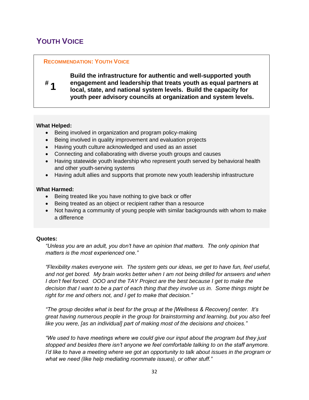# <span id="page-31-0"></span>**YOUTH VOICE**

### **RECOMMENDATION: YOUTH VOICE**

**Build the infrastructure for authentic and well-supported youth engagement and leadership that treats youth as equal partners at local, state, and national system levels. Build the capacity for youth peer advisory councils at organization and system levels.**

### **What Helped:**

**# 1**

- Being involved in organization and program policy-making
- Being involved in quality improvement and evaluation projects
- Having youth culture acknowledged and used as an asset
- Connecting and collaborating with diverse youth groups and causes
- Having statewide youth leadership who represent youth served by behavioral health and other youth-serving systems
- Having adult allies and supports that promote new youth leadership infrastructure

### **What Harmed:**

- Being treated like you have nothing to give back or offer
- Being treated as an object or recipient rather than a resource
- Not having a community of young people with similar backgrounds with whom to make a difference

### **Quotes:**

*"Unless you are an adult, you don't have an opinion that matters. The only opinion that matters is the most experienced one."*

*"Flexibility makes everyone win. The system gets our ideas, we get to have fun, feel useful, and not get bored. My brain works better when I am not being drilled for answers and when I don't feel forced.* OOO and the TAY Project are the best because I get to make the *decision that I want to be a part of each thing that they involve us in. Some things might be right for me and others not, and I get to make that decision."*

*"The group decides what is best for the group at the [Wellness & Recovery] center. It's great having numerous people in the group for brainstorming and learning, but you also feel like you were, [as an individual] part of making most of the decisions and choices."*

*"We used to have meetings where we could give our input about the program but they just stopped and besides there isn't anyone we feel comfortable talking to on the staff anymore. I'd like to have a meeting where we got an opportunity to talk about issues in the program or what we need (like help mediating roommate issues), or other stuff."*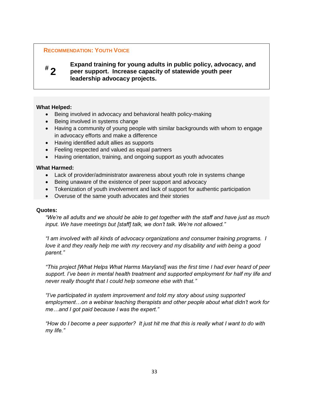### **RECOMMENDATION: YOUTH VOICE**

# **# 2**

### **Expand training for young adults in public policy, advocacy, and peer support. Increase capacity of statewide youth peer leadership advocacy projects.**

### **What Helped:**

- Being involved in advocacy and behavioral health policy-making
- Being involved in systems change
- Having a community of young people with similar backgrounds with whom to engage in advocacy efforts and make a difference
- Having identified adult allies as supports
- Feeling respected and valued as equal partners
- Having orientation, training, and ongoing support as youth advocates

### **What Harmed:**

- Lack of provider/administrator awareness about youth role in systems change
- Being unaware of the existence of peer support and advocacy
- Tokenization of youth involvement and lack of support for authentic participation
- Overuse of the same youth advocates and their stories

### **Quotes:**

*"We're all adults and we should be able to get together with the staff and have just as much input. We have meetings but [staff] talk, we don't talk. We're not allowed."*

*"I am involved with all kinds of advocacy organizations and consumer training programs. I love it and they really help me with my recovery and my disability and with being a good parent."*

*"This project [What Helps What Harms Maryland] was the first time I had ever heard of peer support. I've been in mental health treatment and supported employment for half my life and never really thought that I could help someone else with that."*

*"I've participated in system improvement and told my story about using supported employment…on a webinar teaching therapists and other people about what didn't work for me…and I got paid because I was the expert."*

*"How do I become a peer supporter? It just hit me that this is really what I want to do with my life."*